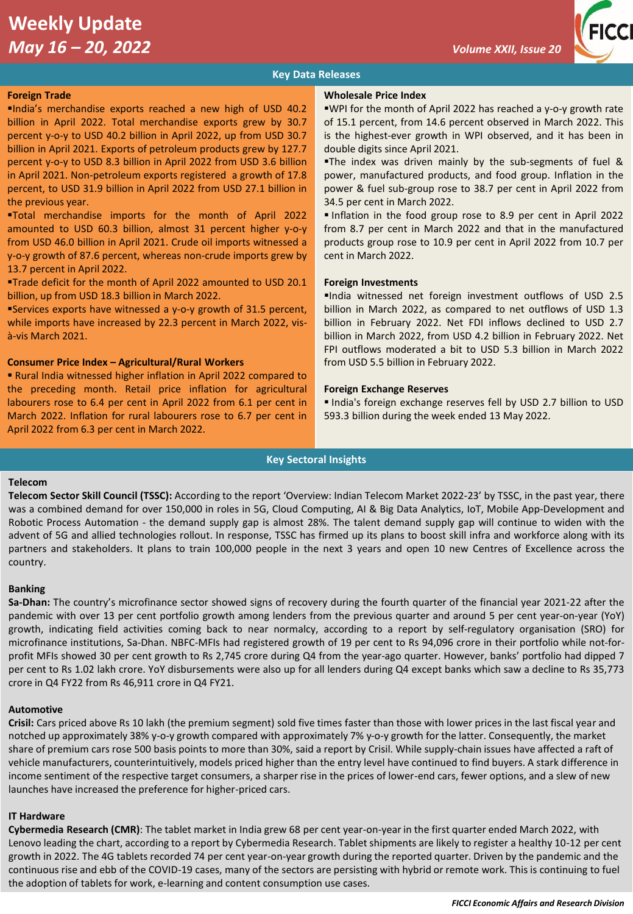# **Weekly Update**  *May 16 – 20, 2022 Volume XXII, Issue 20*



# **Key Data Releases**

# **Foreign Trade**

▪India's merchandise exports reached a new high of USD 40.2 billion in April 2022. Total merchandise exports grew by 30.7 percent y-o-y to USD 40.2 billion in April 2022, up from USD 30.7 billion in April 2021. Exports of petroleum products grew by 127.7 percent y-o-y to USD 8.3 billion in April 2022 from USD 3.6 billion in April 2021. Non-petroleum exports registered a growth of 17.8 percent, to USD 31.9 billion in April 2022 from USD 27.1 billion in the previous year.

▪Total merchandise imports for the month of April 2022 amounted to USD 60.3 billion, almost 31 percent higher y-o-y from USD 46.0 billion in April 2021. Crude oil imports witnessed a y-o-y growth of 87.6 percent, whereas non-crude imports grew by 13.7 percent in April 2022.

▪Trade deficit for the month of April 2022 amounted to USD 20.1 billion, up from USD 18.3 billion in March 2022.

▪Services exports have witnessed a y-o-y growth of 31.5 percent, while imports have increased by 22.3 percent in March 2022, visà-vis March 2021.

# **Consumer Price Index – Agricultural/Rural Workers**

▪ Rural India witnessed higher inflation in April 2022 compared to the preceding month. Retail price inflation for agricultural labourers rose to 6.4 per cent in April 2022 from 6.1 per cent in March 2022. Inflation for rural labourers rose to 6.7 per cent in April 2022 from 6.3 per cent in March 2022.

#### **Wholesale Price Index**

■WPI for the month of April 2022 has reached a y-o-y growth rate of 15.1 percent, from 14.6 percent observed in March 2022. This is the highest-ever growth in WPI observed, and it has been in double digits since April 2021.

The index was driven mainly by the sub-segments of fuel & power, manufactured products, and food group. Inflation in the power & fuel sub-group rose to 38.7 per cent in April 2022 from 34.5 per cent in March 2022.

▪ Inflation in the food group rose to 8.9 per cent in April 2022 from 8.7 per cent in March 2022 and that in the manufactured products group rose to 10.9 per cent in April 2022 from 10.7 per cent in March 2022.

# **Foreign Investments**

▪India witnessed net foreign investment outflows of USD 2.5 billion in March 2022, as compared to net outflows of USD 1.3 billion in February 2022. Net FDI inflows declined to USD 2.7 billion in March 2022, from USD 4.2 billion in February 2022. Net FPI outflows moderated a bit to USD 5.3 billion in March 2022 from USD 5.5 billion in February 2022.

#### **Foreign Exchange Reserves**

▪ India's foreign exchange reserves fell by USD 2.7 billion to USD 593.3 billion during the week ended 13 May 2022.

#### **Key Sectoral Insights**

#### **Telecom**

**Telecom Sector Skill Council (TSSC):** According to the report 'Overview: Indian Telecom Market 2022-23' by TSSC, in the past year, there was a combined demand for over 150,000 in roles in 5G, Cloud Computing, AI & Big Data Analytics, IoT, Mobile App-Development and Robotic Process Automation - the demand supply gap is almost 28%. The talent demand supply gap will continue to widen with the advent of 5G and allied technologies rollout. In response, TSSC has firmed up its plans to boost skill infra and workforce along with its partners and stakeholders. It plans to train 100,000 people in the next 3 years and open 10 new Centres of Excellence across the country.

### **Banking**

**Sa-Dhan:** The country's microfinance sector showed signs of recovery during the fourth quarter of the financial year 2021-22 after the pandemic with over 13 per cent portfolio growth among lenders from the previous quarter and around 5 per cent year-on-year (YoY) growth, indicating field activities coming back to near normalcy, according to a report by self-regulatory organisation (SRO) for microfinance institutions, Sa-Dhan. NBFC-MFIs had registered growth of 19 per cent to Rs 94,096 crore in their portfolio while not-forprofit MFIs showed 30 per cent growth to Rs 2,745 crore during Q4 from the year-ago quarter. However, banks' portfolio had dipped 7 per cent to Rs 1.02 lakh crore. YoY disbursements were also up for all lenders during Q4 except banks which saw a decline to Rs 35,773 crore in Q4 FY22 from Rs 46,911 crore in Q4 FY21.

### **Automotive**

**Crisil:** Cars priced above Rs 10 lakh (the premium segment) sold five times faster than those with lower prices in the last fiscal year and notched up approximately 38% y-o-y growth compared with approximately 7% y-o-y growth for the latter. Consequently, the market share of premium cars rose 500 basis points to more than 30%, said a report by Crisil. While supply-chain issues have affected a raft of vehicle manufacturers, counterintuitively, models priced higher than the entry level have continued to find buyers. A stark difference in income sentiment of the respective target consumers, a sharper rise in the prices of lower-end cars, fewer options, and a slew of new launches have increased the preference for higher-priced cars.

# **IT Hardware**

**Cybermedia Research (CMR)**: The tablet market in India grew 68 per cent year-on-year in the first quarter ended March 2022, with Lenovo leading the chart, according to a report by Cybermedia Research. Tablet shipments are likely to register a healthy 10-12 per cent growth in 2022. The 4G tablets recorded 74 per cent year-on-year growth during the reported quarter. Driven by the pandemic and the continuous rise and ebb of the COVID-19 cases, many of the sectors are persisting with hybrid or remote work. This is continuing to fuel the adoption of tablets for work, e-learning and content consumption use cases.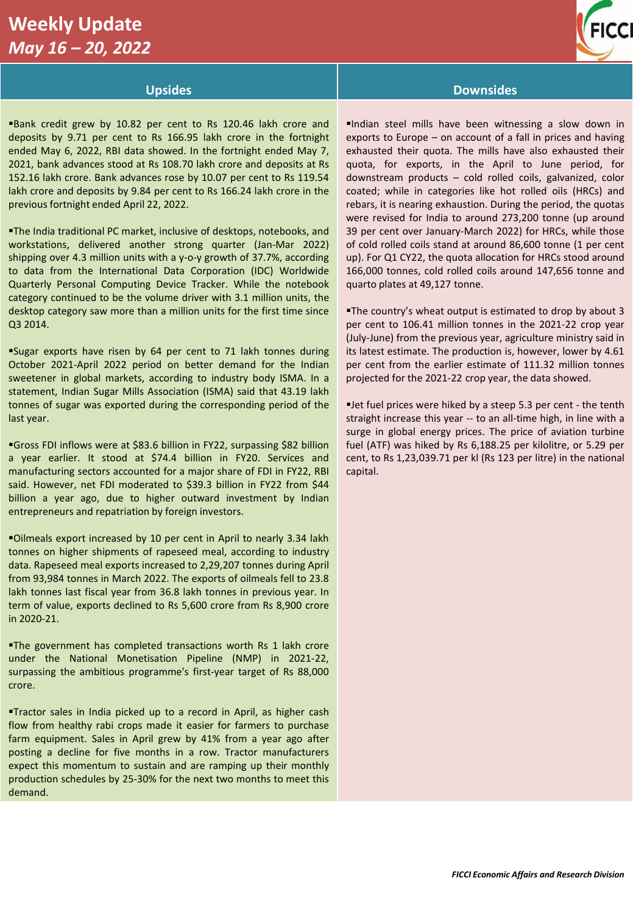# **Weekly Update**  *May 16 – 20, 2022*



Bank credit grew by 10.82 per cent to Rs 120.46 lakh crore and deposits by 9.71 per cent to Rs 166.95 lakh crore in the fortnight ended May 6, 2022, RBI data showed. In the fortnight ended May 7, 2021, bank advances stood at Rs 108.70 lakh crore and deposits at Rs 152.16 lakh crore. Bank advances rose by 10.07 per cent to Rs 119.54 lakh crore and deposits by 9.84 per cent to Rs 166.24 lakh crore in the previous fortnight ended April 22, 2022.

▪The India traditional PC market, inclusive of desktops, notebooks, and workstations, delivered another strong quarter (Jan-Mar 2022) shipping over 4.3 million units with a y-o-y growth of 37.7%, according to data from the International Data Corporation (IDC) Worldwide Quarterly Personal Computing Device Tracker. While the notebook category continued to be the volume driver with 3.1 million units, the desktop category saw more than a million units for the first time since Q3 2014.

▪Sugar exports have risen by 64 per cent to 71 lakh tonnes during October 2021-April 2022 period on better demand for the Indian sweetener in global markets, according to industry body ISMA. In a statement, Indian Sugar Mills Association (ISMA) said that 43.19 lakh tonnes of sugar was exported during the corresponding period of the last year.

▪Gross FDI inflows were at \$83.6 billion in FY22, surpassing \$82 billion a year earlier. It stood at \$74.4 billion in FY20. Services and manufacturing sectors accounted for a major share of FDI in FY22, RBI said. However, net FDI moderated to \$39.3 billion in FY22 from \$44 billion a year ago, due to higher outward investment by Indian entrepreneurs and repatriation by foreign investors.

▪Oilmeals export increased by 10 per cent in April to nearly 3.34 lakh tonnes on higher shipments of rapeseed meal, according to industry data. Rapeseed meal exports increased to 2,29,207 tonnes during April from 93,984 tonnes in March 2022. The exports of oilmeals fell to 23.8 lakh tonnes last fiscal year from 36.8 lakh tonnes in previous year. In term of value, exports declined to Rs 5,600 crore from Rs 8,900 crore in 2020-21.

The government has completed transactions worth Rs 1 lakh crore under the National Monetisation Pipeline (NMP) in 2021-22, surpassing the ambitious programme's first-year target of Rs 88,000 crore.

▪Tractor sales in India picked up to a record in April, as higher cash flow from healthy rabi crops made it easier for farmers to purchase farm equipment. Sales in April grew by 41% from a year ago after posting a decline for five months in a row. Tractor manufacturers expect this momentum to sustain and are ramping up their monthly production schedules by 25-30% for the next two months to meet this demand.

# **Upsides Downsides**

▪Indian steel mills have been witnessing a slow down in exports to Europe – on account of a fall in prices and having exhausted their quota. The mills have also exhausted their quota, for exports, in the April to June period, for downstream products – cold rolled coils, galvanized, color coated; while in categories like hot rolled oils (HRCs) and rebars, it is nearing exhaustion. During the period, the quotas were revised for India to around 273,200 tonne (up around 39 per cent over January-March 2022) for HRCs, while those of cold rolled coils stand at around 86,600 tonne (1 per cent up). For Q1 CY22, the quota allocation for HRCs stood around 166,000 tonnes, cold rolled coils around 147,656 tonne and quarto plates at 49,127 tonne.

▪The country's wheat output is estimated to drop by about 3 per cent to 106.41 million tonnes in the 2021-22 crop year (July-June) from the previous year, agriculture ministry said in its latest estimate. The production is, however, lower by 4.61 per cent from the earlier estimate of 111.32 million tonnes projected for the 2021-22 crop year, the data showed.

**Iet fuel prices were hiked by a steep 5.3 per cent - the tenth** straight increase this year -- to an all-time high, in line with a surge in global energy prices. The price of aviation turbine fuel (ATF) was hiked by Rs 6,188.25 per kilolitre, or 5.29 per cent, to Rs 1,23,039.71 per kl (Rs 123 per litre) in the national capital.